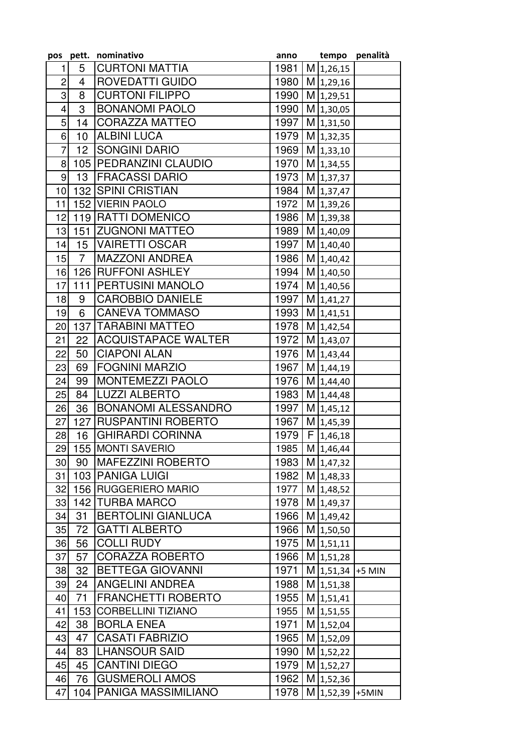| <b>CURTONI MATTIA</b><br>5<br>1981<br>M 1,26,15<br>1<br><b>ROVEDATTI GUIDO</b><br>$\overline{c}$<br>M 1,29,16<br>4<br>1980<br>3<br><b>CURTONI FILIPPO</b><br>8<br>1990<br>M 1,29,51<br>3<br><b>BONANOMI PAOLO</b><br>$\overline{\mathbf{4}}$<br>1990<br>M 1,30,05<br>5<br><b>CORAZZA MATTEO</b><br>14<br>1997<br>M 1,31,50<br>6<br>10<br><b>ALBINI LUCA</b><br>1979<br>M 1,32,35<br><b>SONGINI DARIO</b><br>$\overline{7}$<br>12<br>1969<br>$M$ 1,33,10<br>8<br>105   PEDRANZINI CLAUDIO<br>$M$ 1,34,55<br>1970<br>9<br>13<br><b>FRACASSI DARIO</b><br>1973<br>M 1,37,37<br>10<br>132 SPINI CRISTIAN<br>1984<br>M 1,37,47<br>11<br>152 VIERIN PAOLO<br>1972<br>M 1,39,26<br>119 RATTI DOMENICO<br>M 1,39,38<br>12<br>1986<br>151 ZUGNONI MATTEO<br>1989<br>13<br>M 1,40,09<br>15 <sub>1</sub><br><b>VAIRETTI OSCAR</b><br>M 1,40,40<br>14<br>1997<br>$\overline{7}$<br>15<br><b>MAZZONI ANDREA</b><br>1986<br>M 1,40,42<br>126 RUFFONI ASHLEY<br>16<br>1994<br>M 1,40,50<br><b>PERTUSINI MANOLO</b><br>111<br>1974<br>17<br>M 1,40,56<br><b>CAROBBIO DANIELE</b><br>18<br>1997<br>M 1,41,27<br>9<br><b>CANEVA TOMMASO</b><br>6<br>1993<br>M 1,41,51<br>19<br>137   TARABINI MATTEO<br>1978<br>$M$ 1,42,54<br>20<br>22<br><b>ACQUISTAPACE WALTER</b><br>21<br>1972<br>M 1,43,07<br><b>CIAPONI ALAN</b><br>22<br>50<br>1976<br>M 1,43,44<br><b>FOGNINI MARZIO</b><br>M 1,44,19<br>23<br>69<br>1967<br><b>MONTEMEZZI PAOLO</b><br>1976<br>24<br>99<br>M 1,44,40<br><b>LUZZI ALBERTO</b><br>1983<br>25<br>M 1,44,48<br>84<br><b>BONANOMI ALESSANDRO</b><br>36<br>1997<br>M 1,45,12<br>26<br>27<br>127<br><b>IRUSPANTINI ROBERTO</b><br>1967<br>M 1,45,39<br><b>GHIRARDI CORINNA</b><br>F 1,46,18<br>1979<br>28<br>16<br>M 1,46,44<br>29<br>155 MONTI SAVERIO<br>1985<br><b>MAFEZZINI ROBERTO</b><br>30 <sub>l</sub><br>90<br>1983<br>M 1,47,32<br>103   PANIGA LUIGI<br>31<br>1982<br>M 1,48,33<br>32<br>156 RUGGERIERO MARIO<br>1977<br>M 1,48,52<br>142 TURBA MARCO<br>33<br>1978<br>M 1,49,37<br><b>BERTOLINI GIANLUCA</b><br>34<br>31<br>1966<br>M 1,49,42<br><b>GATTI ALBERTO</b><br>1966<br>35<br>72<br>M 1,50,50<br>56<br><b>COLLI RUDY</b><br>36<br>1975<br>$M$ 1,51,11<br><b>CORAZZA ROBERTO</b><br>37<br>57<br>1966<br>$M$ 1,51,28<br>32<br><b>BETTEGA GIOVANNI</b><br>1971<br>$M$ 1,51,34 +5 MIN<br>38<br><b>ANGELINI ANDREA</b><br>39<br>24<br>1988<br>$M$ 1,51,38<br><b>FRANCHETTI ROBERTO</b><br>71<br>1955<br>$M$ 1,51,41<br>40<br>CORBELLINI TIZIANO<br>41<br>153<br>1955<br>$M$ 1,51,55<br>38<br><b>BORLA ENEA</b><br>1971<br>42<br>$M$ 1,52,04<br><b>CASATI FABRIZIO</b><br>43<br>1965<br>47<br>M 1,52,09<br> LHANSOUR SAID<br>44<br>83<br>1990<br>M 1,52,22<br>45<br><b>CANTINI DIEGO</b><br>45<br>1979<br>M 1,52,27<br>$M$ 1,52,36 |    |    | pos pett. nominativo  | anno | tempo | penalità |
|----------------------------------------------------------------------------------------------------------------------------------------------------------------------------------------------------------------------------------------------------------------------------------------------------------------------------------------------------------------------------------------------------------------------------------------------------------------------------------------------------------------------------------------------------------------------------------------------------------------------------------------------------------------------------------------------------------------------------------------------------------------------------------------------------------------------------------------------------------------------------------------------------------------------------------------------------------------------------------------------------------------------------------------------------------------------------------------------------------------------------------------------------------------------------------------------------------------------------------------------------------------------------------------------------------------------------------------------------------------------------------------------------------------------------------------------------------------------------------------------------------------------------------------------------------------------------------------------------------------------------------------------------------------------------------------------------------------------------------------------------------------------------------------------------------------------------------------------------------------------------------------------------------------------------------------------------------------------------------------------------------------------------------------------------------------------------------------------------------------------------------------------------------------------------------------------------------------------------------------------------------------------------------------------------------------------------------------------------------------------------------------------------------------------------------------------------------------------------------------------------------------------------------------------------------------------------------------------------------------------------------------------------------------------------------------------------------------------------------------------------|----|----|-----------------------|------|-------|----------|
|                                                                                                                                                                                                                                                                                                                                                                                                                                                                                                                                                                                                                                                                                                                                                                                                                                                                                                                                                                                                                                                                                                                                                                                                                                                                                                                                                                                                                                                                                                                                                                                                                                                                                                                                                                                                                                                                                                                                                                                                                                                                                                                                                                                                                                                                                                                                                                                                                                                                                                                                                                                                                                                                                                                                                    |    |    |                       |      |       |          |
|                                                                                                                                                                                                                                                                                                                                                                                                                                                                                                                                                                                                                                                                                                                                                                                                                                                                                                                                                                                                                                                                                                                                                                                                                                                                                                                                                                                                                                                                                                                                                                                                                                                                                                                                                                                                                                                                                                                                                                                                                                                                                                                                                                                                                                                                                                                                                                                                                                                                                                                                                                                                                                                                                                                                                    |    |    |                       |      |       |          |
|                                                                                                                                                                                                                                                                                                                                                                                                                                                                                                                                                                                                                                                                                                                                                                                                                                                                                                                                                                                                                                                                                                                                                                                                                                                                                                                                                                                                                                                                                                                                                                                                                                                                                                                                                                                                                                                                                                                                                                                                                                                                                                                                                                                                                                                                                                                                                                                                                                                                                                                                                                                                                                                                                                                                                    |    |    |                       |      |       |          |
|                                                                                                                                                                                                                                                                                                                                                                                                                                                                                                                                                                                                                                                                                                                                                                                                                                                                                                                                                                                                                                                                                                                                                                                                                                                                                                                                                                                                                                                                                                                                                                                                                                                                                                                                                                                                                                                                                                                                                                                                                                                                                                                                                                                                                                                                                                                                                                                                                                                                                                                                                                                                                                                                                                                                                    |    |    |                       |      |       |          |
|                                                                                                                                                                                                                                                                                                                                                                                                                                                                                                                                                                                                                                                                                                                                                                                                                                                                                                                                                                                                                                                                                                                                                                                                                                                                                                                                                                                                                                                                                                                                                                                                                                                                                                                                                                                                                                                                                                                                                                                                                                                                                                                                                                                                                                                                                                                                                                                                                                                                                                                                                                                                                                                                                                                                                    |    |    |                       |      |       |          |
|                                                                                                                                                                                                                                                                                                                                                                                                                                                                                                                                                                                                                                                                                                                                                                                                                                                                                                                                                                                                                                                                                                                                                                                                                                                                                                                                                                                                                                                                                                                                                                                                                                                                                                                                                                                                                                                                                                                                                                                                                                                                                                                                                                                                                                                                                                                                                                                                                                                                                                                                                                                                                                                                                                                                                    |    |    |                       |      |       |          |
|                                                                                                                                                                                                                                                                                                                                                                                                                                                                                                                                                                                                                                                                                                                                                                                                                                                                                                                                                                                                                                                                                                                                                                                                                                                                                                                                                                                                                                                                                                                                                                                                                                                                                                                                                                                                                                                                                                                                                                                                                                                                                                                                                                                                                                                                                                                                                                                                                                                                                                                                                                                                                                                                                                                                                    |    |    |                       |      |       |          |
|                                                                                                                                                                                                                                                                                                                                                                                                                                                                                                                                                                                                                                                                                                                                                                                                                                                                                                                                                                                                                                                                                                                                                                                                                                                                                                                                                                                                                                                                                                                                                                                                                                                                                                                                                                                                                                                                                                                                                                                                                                                                                                                                                                                                                                                                                                                                                                                                                                                                                                                                                                                                                                                                                                                                                    |    |    |                       |      |       |          |
|                                                                                                                                                                                                                                                                                                                                                                                                                                                                                                                                                                                                                                                                                                                                                                                                                                                                                                                                                                                                                                                                                                                                                                                                                                                                                                                                                                                                                                                                                                                                                                                                                                                                                                                                                                                                                                                                                                                                                                                                                                                                                                                                                                                                                                                                                                                                                                                                                                                                                                                                                                                                                                                                                                                                                    |    |    |                       |      |       |          |
|                                                                                                                                                                                                                                                                                                                                                                                                                                                                                                                                                                                                                                                                                                                                                                                                                                                                                                                                                                                                                                                                                                                                                                                                                                                                                                                                                                                                                                                                                                                                                                                                                                                                                                                                                                                                                                                                                                                                                                                                                                                                                                                                                                                                                                                                                                                                                                                                                                                                                                                                                                                                                                                                                                                                                    |    |    |                       |      |       |          |
|                                                                                                                                                                                                                                                                                                                                                                                                                                                                                                                                                                                                                                                                                                                                                                                                                                                                                                                                                                                                                                                                                                                                                                                                                                                                                                                                                                                                                                                                                                                                                                                                                                                                                                                                                                                                                                                                                                                                                                                                                                                                                                                                                                                                                                                                                                                                                                                                                                                                                                                                                                                                                                                                                                                                                    |    |    |                       |      |       |          |
|                                                                                                                                                                                                                                                                                                                                                                                                                                                                                                                                                                                                                                                                                                                                                                                                                                                                                                                                                                                                                                                                                                                                                                                                                                                                                                                                                                                                                                                                                                                                                                                                                                                                                                                                                                                                                                                                                                                                                                                                                                                                                                                                                                                                                                                                                                                                                                                                                                                                                                                                                                                                                                                                                                                                                    |    |    |                       |      |       |          |
|                                                                                                                                                                                                                                                                                                                                                                                                                                                                                                                                                                                                                                                                                                                                                                                                                                                                                                                                                                                                                                                                                                                                                                                                                                                                                                                                                                                                                                                                                                                                                                                                                                                                                                                                                                                                                                                                                                                                                                                                                                                                                                                                                                                                                                                                                                                                                                                                                                                                                                                                                                                                                                                                                                                                                    |    |    |                       |      |       |          |
|                                                                                                                                                                                                                                                                                                                                                                                                                                                                                                                                                                                                                                                                                                                                                                                                                                                                                                                                                                                                                                                                                                                                                                                                                                                                                                                                                                                                                                                                                                                                                                                                                                                                                                                                                                                                                                                                                                                                                                                                                                                                                                                                                                                                                                                                                                                                                                                                                                                                                                                                                                                                                                                                                                                                                    |    |    |                       |      |       |          |
|                                                                                                                                                                                                                                                                                                                                                                                                                                                                                                                                                                                                                                                                                                                                                                                                                                                                                                                                                                                                                                                                                                                                                                                                                                                                                                                                                                                                                                                                                                                                                                                                                                                                                                                                                                                                                                                                                                                                                                                                                                                                                                                                                                                                                                                                                                                                                                                                                                                                                                                                                                                                                                                                                                                                                    |    |    |                       |      |       |          |
|                                                                                                                                                                                                                                                                                                                                                                                                                                                                                                                                                                                                                                                                                                                                                                                                                                                                                                                                                                                                                                                                                                                                                                                                                                                                                                                                                                                                                                                                                                                                                                                                                                                                                                                                                                                                                                                                                                                                                                                                                                                                                                                                                                                                                                                                                                                                                                                                                                                                                                                                                                                                                                                                                                                                                    |    |    |                       |      |       |          |
|                                                                                                                                                                                                                                                                                                                                                                                                                                                                                                                                                                                                                                                                                                                                                                                                                                                                                                                                                                                                                                                                                                                                                                                                                                                                                                                                                                                                                                                                                                                                                                                                                                                                                                                                                                                                                                                                                                                                                                                                                                                                                                                                                                                                                                                                                                                                                                                                                                                                                                                                                                                                                                                                                                                                                    |    |    |                       |      |       |          |
|                                                                                                                                                                                                                                                                                                                                                                                                                                                                                                                                                                                                                                                                                                                                                                                                                                                                                                                                                                                                                                                                                                                                                                                                                                                                                                                                                                                                                                                                                                                                                                                                                                                                                                                                                                                                                                                                                                                                                                                                                                                                                                                                                                                                                                                                                                                                                                                                                                                                                                                                                                                                                                                                                                                                                    |    |    |                       |      |       |          |
|                                                                                                                                                                                                                                                                                                                                                                                                                                                                                                                                                                                                                                                                                                                                                                                                                                                                                                                                                                                                                                                                                                                                                                                                                                                                                                                                                                                                                                                                                                                                                                                                                                                                                                                                                                                                                                                                                                                                                                                                                                                                                                                                                                                                                                                                                                                                                                                                                                                                                                                                                                                                                                                                                                                                                    |    |    |                       |      |       |          |
|                                                                                                                                                                                                                                                                                                                                                                                                                                                                                                                                                                                                                                                                                                                                                                                                                                                                                                                                                                                                                                                                                                                                                                                                                                                                                                                                                                                                                                                                                                                                                                                                                                                                                                                                                                                                                                                                                                                                                                                                                                                                                                                                                                                                                                                                                                                                                                                                                                                                                                                                                                                                                                                                                                                                                    |    |    |                       |      |       |          |
|                                                                                                                                                                                                                                                                                                                                                                                                                                                                                                                                                                                                                                                                                                                                                                                                                                                                                                                                                                                                                                                                                                                                                                                                                                                                                                                                                                                                                                                                                                                                                                                                                                                                                                                                                                                                                                                                                                                                                                                                                                                                                                                                                                                                                                                                                                                                                                                                                                                                                                                                                                                                                                                                                                                                                    |    |    |                       |      |       |          |
|                                                                                                                                                                                                                                                                                                                                                                                                                                                                                                                                                                                                                                                                                                                                                                                                                                                                                                                                                                                                                                                                                                                                                                                                                                                                                                                                                                                                                                                                                                                                                                                                                                                                                                                                                                                                                                                                                                                                                                                                                                                                                                                                                                                                                                                                                                                                                                                                                                                                                                                                                                                                                                                                                                                                                    |    |    |                       |      |       |          |
|                                                                                                                                                                                                                                                                                                                                                                                                                                                                                                                                                                                                                                                                                                                                                                                                                                                                                                                                                                                                                                                                                                                                                                                                                                                                                                                                                                                                                                                                                                                                                                                                                                                                                                                                                                                                                                                                                                                                                                                                                                                                                                                                                                                                                                                                                                                                                                                                                                                                                                                                                                                                                                                                                                                                                    |    |    |                       |      |       |          |
|                                                                                                                                                                                                                                                                                                                                                                                                                                                                                                                                                                                                                                                                                                                                                                                                                                                                                                                                                                                                                                                                                                                                                                                                                                                                                                                                                                                                                                                                                                                                                                                                                                                                                                                                                                                                                                                                                                                                                                                                                                                                                                                                                                                                                                                                                                                                                                                                                                                                                                                                                                                                                                                                                                                                                    |    |    |                       |      |       |          |
|                                                                                                                                                                                                                                                                                                                                                                                                                                                                                                                                                                                                                                                                                                                                                                                                                                                                                                                                                                                                                                                                                                                                                                                                                                                                                                                                                                                                                                                                                                                                                                                                                                                                                                                                                                                                                                                                                                                                                                                                                                                                                                                                                                                                                                                                                                                                                                                                                                                                                                                                                                                                                                                                                                                                                    |    |    |                       |      |       |          |
|                                                                                                                                                                                                                                                                                                                                                                                                                                                                                                                                                                                                                                                                                                                                                                                                                                                                                                                                                                                                                                                                                                                                                                                                                                                                                                                                                                                                                                                                                                                                                                                                                                                                                                                                                                                                                                                                                                                                                                                                                                                                                                                                                                                                                                                                                                                                                                                                                                                                                                                                                                                                                                                                                                                                                    |    |    |                       |      |       |          |
|                                                                                                                                                                                                                                                                                                                                                                                                                                                                                                                                                                                                                                                                                                                                                                                                                                                                                                                                                                                                                                                                                                                                                                                                                                                                                                                                                                                                                                                                                                                                                                                                                                                                                                                                                                                                                                                                                                                                                                                                                                                                                                                                                                                                                                                                                                                                                                                                                                                                                                                                                                                                                                                                                                                                                    |    |    |                       |      |       |          |
|                                                                                                                                                                                                                                                                                                                                                                                                                                                                                                                                                                                                                                                                                                                                                                                                                                                                                                                                                                                                                                                                                                                                                                                                                                                                                                                                                                                                                                                                                                                                                                                                                                                                                                                                                                                                                                                                                                                                                                                                                                                                                                                                                                                                                                                                                                                                                                                                                                                                                                                                                                                                                                                                                                                                                    |    |    |                       |      |       |          |
|                                                                                                                                                                                                                                                                                                                                                                                                                                                                                                                                                                                                                                                                                                                                                                                                                                                                                                                                                                                                                                                                                                                                                                                                                                                                                                                                                                                                                                                                                                                                                                                                                                                                                                                                                                                                                                                                                                                                                                                                                                                                                                                                                                                                                                                                                                                                                                                                                                                                                                                                                                                                                                                                                                                                                    |    |    |                       |      |       |          |
|                                                                                                                                                                                                                                                                                                                                                                                                                                                                                                                                                                                                                                                                                                                                                                                                                                                                                                                                                                                                                                                                                                                                                                                                                                                                                                                                                                                                                                                                                                                                                                                                                                                                                                                                                                                                                                                                                                                                                                                                                                                                                                                                                                                                                                                                                                                                                                                                                                                                                                                                                                                                                                                                                                                                                    |    |    |                       |      |       |          |
|                                                                                                                                                                                                                                                                                                                                                                                                                                                                                                                                                                                                                                                                                                                                                                                                                                                                                                                                                                                                                                                                                                                                                                                                                                                                                                                                                                                                                                                                                                                                                                                                                                                                                                                                                                                                                                                                                                                                                                                                                                                                                                                                                                                                                                                                                                                                                                                                                                                                                                                                                                                                                                                                                                                                                    |    |    |                       |      |       |          |
|                                                                                                                                                                                                                                                                                                                                                                                                                                                                                                                                                                                                                                                                                                                                                                                                                                                                                                                                                                                                                                                                                                                                                                                                                                                                                                                                                                                                                                                                                                                                                                                                                                                                                                                                                                                                                                                                                                                                                                                                                                                                                                                                                                                                                                                                                                                                                                                                                                                                                                                                                                                                                                                                                                                                                    |    |    |                       |      |       |          |
|                                                                                                                                                                                                                                                                                                                                                                                                                                                                                                                                                                                                                                                                                                                                                                                                                                                                                                                                                                                                                                                                                                                                                                                                                                                                                                                                                                                                                                                                                                                                                                                                                                                                                                                                                                                                                                                                                                                                                                                                                                                                                                                                                                                                                                                                                                                                                                                                                                                                                                                                                                                                                                                                                                                                                    |    |    |                       |      |       |          |
|                                                                                                                                                                                                                                                                                                                                                                                                                                                                                                                                                                                                                                                                                                                                                                                                                                                                                                                                                                                                                                                                                                                                                                                                                                                                                                                                                                                                                                                                                                                                                                                                                                                                                                                                                                                                                                                                                                                                                                                                                                                                                                                                                                                                                                                                                                                                                                                                                                                                                                                                                                                                                                                                                                                                                    |    |    |                       |      |       |          |
|                                                                                                                                                                                                                                                                                                                                                                                                                                                                                                                                                                                                                                                                                                                                                                                                                                                                                                                                                                                                                                                                                                                                                                                                                                                                                                                                                                                                                                                                                                                                                                                                                                                                                                                                                                                                                                                                                                                                                                                                                                                                                                                                                                                                                                                                                                                                                                                                                                                                                                                                                                                                                                                                                                                                                    |    |    |                       |      |       |          |
|                                                                                                                                                                                                                                                                                                                                                                                                                                                                                                                                                                                                                                                                                                                                                                                                                                                                                                                                                                                                                                                                                                                                                                                                                                                                                                                                                                                                                                                                                                                                                                                                                                                                                                                                                                                                                                                                                                                                                                                                                                                                                                                                                                                                                                                                                                                                                                                                                                                                                                                                                                                                                                                                                                                                                    |    |    |                       |      |       |          |
|                                                                                                                                                                                                                                                                                                                                                                                                                                                                                                                                                                                                                                                                                                                                                                                                                                                                                                                                                                                                                                                                                                                                                                                                                                                                                                                                                                                                                                                                                                                                                                                                                                                                                                                                                                                                                                                                                                                                                                                                                                                                                                                                                                                                                                                                                                                                                                                                                                                                                                                                                                                                                                                                                                                                                    |    |    |                       |      |       |          |
|                                                                                                                                                                                                                                                                                                                                                                                                                                                                                                                                                                                                                                                                                                                                                                                                                                                                                                                                                                                                                                                                                                                                                                                                                                                                                                                                                                                                                                                                                                                                                                                                                                                                                                                                                                                                                                                                                                                                                                                                                                                                                                                                                                                                                                                                                                                                                                                                                                                                                                                                                                                                                                                                                                                                                    |    |    |                       |      |       |          |
|                                                                                                                                                                                                                                                                                                                                                                                                                                                                                                                                                                                                                                                                                                                                                                                                                                                                                                                                                                                                                                                                                                                                                                                                                                                                                                                                                                                                                                                                                                                                                                                                                                                                                                                                                                                                                                                                                                                                                                                                                                                                                                                                                                                                                                                                                                                                                                                                                                                                                                                                                                                                                                                                                                                                                    |    |    |                       |      |       |          |
|                                                                                                                                                                                                                                                                                                                                                                                                                                                                                                                                                                                                                                                                                                                                                                                                                                                                                                                                                                                                                                                                                                                                                                                                                                                                                                                                                                                                                                                                                                                                                                                                                                                                                                                                                                                                                                                                                                                                                                                                                                                                                                                                                                                                                                                                                                                                                                                                                                                                                                                                                                                                                                                                                                                                                    |    |    |                       |      |       |          |
|                                                                                                                                                                                                                                                                                                                                                                                                                                                                                                                                                                                                                                                                                                                                                                                                                                                                                                                                                                                                                                                                                                                                                                                                                                                                                                                                                                                                                                                                                                                                                                                                                                                                                                                                                                                                                                                                                                                                                                                                                                                                                                                                                                                                                                                                                                                                                                                                                                                                                                                                                                                                                                                                                                                                                    |    |    |                       |      |       |          |
|                                                                                                                                                                                                                                                                                                                                                                                                                                                                                                                                                                                                                                                                                                                                                                                                                                                                                                                                                                                                                                                                                                                                                                                                                                                                                                                                                                                                                                                                                                                                                                                                                                                                                                                                                                                                                                                                                                                                                                                                                                                                                                                                                                                                                                                                                                                                                                                                                                                                                                                                                                                                                                                                                                                                                    |    |    |                       |      |       |          |
|                                                                                                                                                                                                                                                                                                                                                                                                                                                                                                                                                                                                                                                                                                                                                                                                                                                                                                                                                                                                                                                                                                                                                                                                                                                                                                                                                                                                                                                                                                                                                                                                                                                                                                                                                                                                                                                                                                                                                                                                                                                                                                                                                                                                                                                                                                                                                                                                                                                                                                                                                                                                                                                                                                                                                    |    |    |                       |      |       |          |
|                                                                                                                                                                                                                                                                                                                                                                                                                                                                                                                                                                                                                                                                                                                                                                                                                                                                                                                                                                                                                                                                                                                                                                                                                                                                                                                                                                                                                                                                                                                                                                                                                                                                                                                                                                                                                                                                                                                                                                                                                                                                                                                                                                                                                                                                                                                                                                                                                                                                                                                                                                                                                                                                                                                                                    |    |    |                       |      |       |          |
|                                                                                                                                                                                                                                                                                                                                                                                                                                                                                                                                                                                                                                                                                                                                                                                                                                                                                                                                                                                                                                                                                                                                                                                                                                                                                                                                                                                                                                                                                                                                                                                                                                                                                                                                                                                                                                                                                                                                                                                                                                                                                                                                                                                                                                                                                                                                                                                                                                                                                                                                                                                                                                                                                                                                                    |    |    |                       |      |       |          |
|                                                                                                                                                                                                                                                                                                                                                                                                                                                                                                                                                                                                                                                                                                                                                                                                                                                                                                                                                                                                                                                                                                                                                                                                                                                                                                                                                                                                                                                                                                                                                                                                                                                                                                                                                                                                                                                                                                                                                                                                                                                                                                                                                                                                                                                                                                                                                                                                                                                                                                                                                                                                                                                                                                                                                    |    |    |                       |      |       |          |
|                                                                                                                                                                                                                                                                                                                                                                                                                                                                                                                                                                                                                                                                                                                                                                                                                                                                                                                                                                                                                                                                                                                                                                                                                                                                                                                                                                                                                                                                                                                                                                                                                                                                                                                                                                                                                                                                                                                                                                                                                                                                                                                                                                                                                                                                                                                                                                                                                                                                                                                                                                                                                                                                                                                                                    | 46 | 76 | <b>GUSMEROLI AMOS</b> | 1962 |       |          |
| <b>PANIGA MASSIMILIANO</b><br>47<br>104<br>1978<br>M 1,52,39 +5MIN                                                                                                                                                                                                                                                                                                                                                                                                                                                                                                                                                                                                                                                                                                                                                                                                                                                                                                                                                                                                                                                                                                                                                                                                                                                                                                                                                                                                                                                                                                                                                                                                                                                                                                                                                                                                                                                                                                                                                                                                                                                                                                                                                                                                                                                                                                                                                                                                                                                                                                                                                                                                                                                                                 |    |    |                       |      |       |          |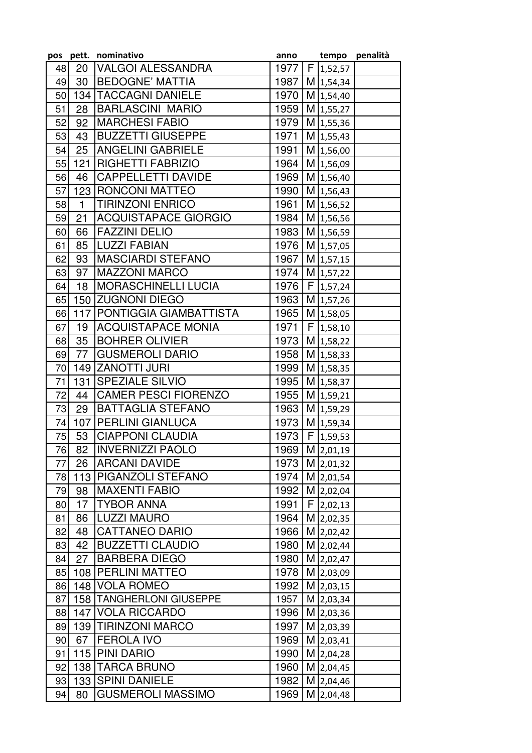|          |              | pos pett. nominativo        | anno         |   |                            | tempo penalità |
|----------|--------------|-----------------------------|--------------|---|----------------------------|----------------|
| 48       | 20           | <b>VALGOI ALESSANDRA</b>    | 1977         |   | F 1,52,57                  |                |
| 49       | 30           | <b>BEDOGNE' MATTIA</b>      | 1987         |   | $M$ 1,54,34                |                |
| 50       |              | <b>134 TACCAGNI DANIELE</b> | 1970         |   | M 1,54,40                  |                |
| 51       | 28           | <b>BARLASCINI MARIO</b>     | 1959         |   | M 1,55,27                  |                |
| 52       | 92           | <b>MARCHESI FABIO</b>       | 1979         |   | $M$ 1,55,36                |                |
| 53       | 43           | BUZZETTI GIUSEPPE           | 1971         |   | $M$ 1,55,43                |                |
| 54       | 25           | <b>ANGELINI GABRIELE</b>    | 1991         |   | M 1,56,00                  |                |
| 55       | 121          | <b>RIGHETTI FABRIZIO</b>    | 1964         |   | M 1,56,09                  |                |
| 56       | 46           | <b>CAPPELLETTI DAVIDE</b>   | 1969         |   | M 1,56,40                  |                |
| 57       |              | 123 RONCONI MATTEO          | 1990         |   | M 1,56,43                  |                |
| 58       | $\mathbf{1}$ | <b>TIRINZONI ENRICO</b>     | 1961         |   | M 1,56,52                  |                |
| 59       | 21           | <b>ACQUISTAPACE GIORGIO</b> | 1984         |   | M 1,56,56                  |                |
| 60       | 66           | <b>FAZZINI DELIO</b>        | 1983         |   | M 1,56,59                  |                |
| 61       | 85           | <b>ILUZZI FABIAN</b>        | 1976         |   | M 1,57,05                  |                |
| 62       | 93           | <b>MASCIARDI STEFANO</b>    | 1967         |   | M 1,57,15                  |                |
| 63       | 97           | <b>MAZZONI MARCO</b>        | 1974         |   | M 1,57,22                  |                |
| 64       | 18           | <b>MORASCHINELLI LUCIA</b>  | 1976         | F | 1,57,24                    |                |
| 65       | 150          | <b>ZUGNONI DIEGO</b>        | 1963         |   | M 1,57,26                  |                |
| 66       |              | 117 PONTIGGIA GIAMBATTISTA  | 1965         |   | M 1,58,05                  |                |
| 67       | 19           | ACQUISTAPACE MONIA          | 1971         |   | F 1,58,10                  |                |
| 68       | 35           | <b>BOHRER OLIVIER</b>       | 1973         |   | M 1,58,22                  |                |
| 69       | 77           | <b>GUSMEROLI DARIO</b>      | 1958         |   | M 1,58,33                  |                |
| 70       |              | 149 ZANOTTI JURI            | 1999         |   | $M$ 1,58,35                |                |
| 71       | 131          | <b>SPEZIALE SILVIO</b>      | 1995         |   | M 1,58,37                  |                |
| 72       | 44           | <b>CAMER PESCI FIORENZO</b> | 1955         |   | M 1,59,21                  |                |
| 73       | 29           | <b>BATTAGLIA STEFANO</b>    | 1963         |   | M 1,59,29                  |                |
| 74       | 107          | <b>PERLINI GIANLUCA</b>     | 1973         |   | M 1,59,34                  |                |
| 75       | 53           | <b>CIAPPONI CLAUDIA</b>     | 1973         |   | $\overline{F}$ 1,59,53     |                |
| 76       | 82           | <b>INVERNIZZI PAOLO</b>     | 1969         |   | M 2,01,19                  |                |
| 77       | 26           | <b>ARCANI DAVIDE</b>        | 1973         |   | M 2,01,32                  |                |
| 78       |              | 113 PIGANZOLI STEFANO       | 1974         |   | $M$ 2,01,54                |                |
| 79       | 98           | <b>MAXENTI FABIO</b>        | 1992         |   | M 2,02,04                  |                |
| 80       |              | 17   TYBOR ANNA             | 1991         |   | $F$ 2,02,13                |                |
| 81       | 86           | <b>LUZZI MAURO</b>          | 1964         |   | M 2,02,35                  |                |
| 82       | 48           | <b>CATTANEO DARIO</b>       | 1966         |   | M 2,02,42                  |                |
| 83       | 42           | <b>BUZZETTI CLAUDIO</b>     | 1980         |   | M 2,02,44                  |                |
| 84       | 27           | <b>BARBERA DIEGO</b>        | 1980         |   | M 2,02,47                  |                |
| 85       |              | 108   PERLINI MATTEO        | 1978         |   | M 2,03,09                  |                |
| 86       |              | 148 VOLA ROMEO              | 1992         |   | $M$ 2,03,15                |                |
| 87       |              | 158   TANGHERLONI GIUSEPPE  | 1957         |   | M 2,03,34                  |                |
| 88       |              | 147 VOLA RICCARDO           | 1996         |   | M 2,03,36                  |                |
| 89       |              | 139 TIRINZONI MARCO         | 1997         |   | M 2,03,39                  |                |
| 90       | 67           | <b>FEROLA IVO</b>           | 1969         |   | M 2,03,41                  |                |
|          |              | 115 PINI DARIO              |              |   |                            |                |
| 91<br>92 |              | 138 TARCA BRUNO             | 1990<br>1960 |   | $M$ 2,04,28<br>$M$ 2,04,45 |                |
|          |              | 133 SPINI DANIELE           | 1982         |   |                            |                |
| 93       |              |                             |              |   | M 2,04,46                  |                |
| 94       | 80           | <b>GUSMEROLI MASSIMO</b>    | 1969         |   | M 2,04,48                  |                |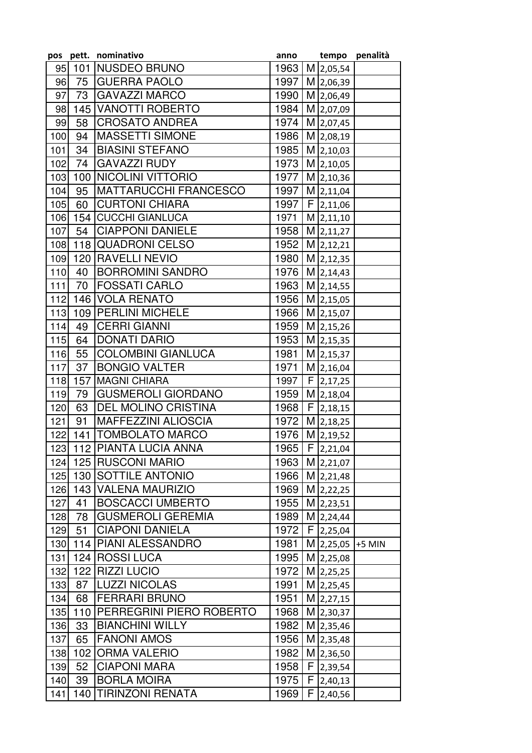|       | pos pett. | nominativo                   | anno |   | tempo            | penalità |
|-------|-----------|------------------------------|------|---|------------------|----------|
| 95    | 101       | NUSDEO BRUNO                 | 1963 |   | M 2,05,54        |          |
| 96    | 75        | <b>GUERRA PAOLO</b>          | 1997 |   | M 2,06,39        |          |
| 97    | 73        | <b>GAVAZZI MARCO</b>         | 1990 |   | M 2,06,49        |          |
| 98    | 145       | <b>VANOTTI ROBERTO</b>       | 1984 |   | M 2,07,09        |          |
| 99    | 58        | <b>CROSATO ANDREA</b>        | 1974 |   | M 2,07,45        |          |
| 100   | 94        | <b>MASSETTI SIMONE</b>       | 1986 |   | M 2,08,19        |          |
| 101   | 34        | <b>BIASINI STEFANO</b>       | 1985 |   | M 2,10,03        |          |
| 102   | 74        | <b>GAVAZZI RUDY</b>          | 1973 |   | M 2,10,05        |          |
| 103   | 100       | <b>NICOLINI VITTORIO</b>     | 1977 |   | M 2,10,36        |          |
| 104   | 95        | <b>MATTARUCCHI FRANCESCO</b> | 1997 |   | $M$ 2,11,04      |          |
| 105   | 60        | <b>CURTONI CHIARA</b>        | 1997 |   | $F$ 2,11,06      |          |
| 106   |           | 154 CUCCHI GIANLUCA          | 1971 |   | $M$ 2,11,10      |          |
| 107   | 54        | <b>CIAPPONI DANIELE</b>      | 1958 |   | $M$ 2,11,27      |          |
| 108   |           | 118 QUADRONI CELSO           | 1952 |   | $M$ 2,12,21      |          |
| 109   | 120       | <b>RAVELLI NEVIO</b>         | 1980 |   | $M$ 2,12,35      |          |
| 110   | 40        | <b>BORROMINI SANDRO</b>      | 1976 |   | M 2,14,43        |          |
| $111$ | 70        | <b>FOSSATI CARLO</b>         | 1963 |   |                  |          |
|       |           |                              |      |   | M 2,14,55        |          |
| 112   | 146       | <b>VOLA RENATO</b>           | 1956 |   | $M$ 2,15,05      |          |
| 113   | 109       | <b>PERLINI MICHELE</b>       | 1966 |   | M 2,15,07        |          |
| 114   | 49        | <b>CERRI GIANNI</b>          | 1959 |   | M 2,15,26        |          |
| 115   | 64        | <b>DONATI DARIO</b>          | 1953 |   | $M$ 2,15,35      |          |
| 116   | 55        | <b>COLOMBINI GIANLUCA</b>    | 1981 |   | M 2,15,37        |          |
| 117   | 37        | <b>BONGIO VALTER</b>         | 1971 |   | M 2,16,04        |          |
| 118   | 157       | <b>MAGNI CHIARA</b>          | 1997 |   | $F$ 2,17,25      |          |
| 119   | 79        | <b>GUSMEROLI GIORDANO</b>    | 1959 |   | M 2,18,04        |          |
| 120   | 63        | <b>DEL MOLINO CRISTINA</b>   | 1968 | F | 2,18,15          |          |
| 121   | 91        | <b>MAFFEZZINI ALIOSCIA</b>   | 1972 |   | M 2,18,25        |          |
| 122   | 141       | <b>TOMBOLATO MARCO</b>       | 1976 |   | M 2,19,52        |          |
|       |           | 123 112 PIANTA LUCIA ANNA    | 1965 |   | $F$ 2,21,04      |          |
|       |           | 124 125 RUSCONI MARIO        | 1963 |   | M 2,21,07        |          |
| 125   |           | 130 SOTTILE ANTONIO          | 1966 |   | M 2,21,48        |          |
| 126   |           | 143 VALENA MAURIZIO          | 1969 |   | M 2,22,25        |          |
| 127   | 41        | <b>BOSCACCI UMBERTO</b>      | 1955 |   | $M$  2,23,51     |          |
| 128   | 78        | <b>GUSMEROLI GEREMIA</b>     | 1989 |   | M 2,24,44        |          |
| 129   | 51        | <b>CIAPONI DANIELA</b>       | 1972 |   | $F$  2,25,04     |          |
| 130   |           | 114   PIANI ALESSANDRO       | 1981 |   | M 2,25,05 +5 MIN |          |
| 131   |           | 124   ROSSI LUCA             | 1995 |   | $M$ 2,25,08      |          |
| 132   |           | 122 RIZZI LUCIO              | 1972 |   | $M$ 2,25,25      |          |
| 133   | 87        | <b>LUZZI NICOLAS</b>         | 1991 |   | M 2,25,45        |          |
| 134   | 68        | <b>FERRARI BRUNO</b>         | 1951 |   | M 2,27,15        |          |
| 135   |           | 110 PERREGRINI PIERO ROBERTO | 1968 |   | M 2,30,37        |          |
| 136   | 33        | <b>BIANCHINI WILLY</b>       | 1982 |   | $M$ 2,35,46      |          |
| 137   | 65        | <b>FANONI AMOS</b>           | 1956 |   | $M$ 2,35,48      |          |
| 138   | 102       | <b>ORMA VALERIO</b>          | 1982 |   | M 2,36,50        |          |
| 139   | 52        | <b>CIAPONI MARA</b>          | 1958 |   | $F$ 2,39,54      |          |
| 140   | 39        | <b>BORLA MOIRA</b>           | 1975 |   | $F$  2,40,13     |          |
|       |           | <b>TIRINZONI RENATA</b>      |      |   |                  |          |
| 141   | 140       |                              | 1969 |   | $F$ 2,40,56      |          |